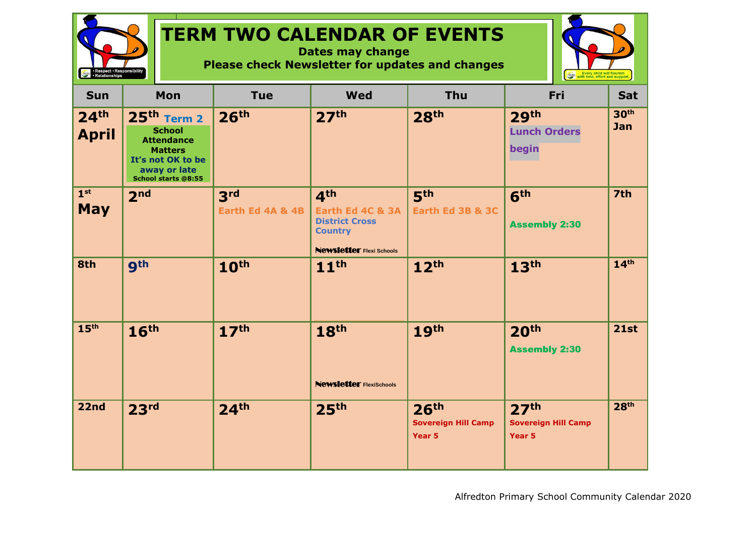## **TERM TWO CALENDAR OF EVENTS**

**Dates may change Please check Newsletter for updates and changes**



| <b>Sun</b>                       | Mon                                                                                                                                      | <b>Tue</b>                          | <b>Wed</b>                                                                                                        | <b>Thu</b>                                               | <b>Fri</b>                                               | <b>Sat</b>              |
|----------------------------------|------------------------------------------------------------------------------------------------------------------------------------------|-------------------------------------|-------------------------------------------------------------------------------------------------------------------|----------------------------------------------------------|----------------------------------------------------------|-------------------------|
| 24 <sup>th</sup><br><b>April</b> | $25th$ Term 2<br><b>School</b><br><b>Attendance</b><br><b>Matters</b><br>It's not OK to be<br>away or late<br><b>School starts @8:55</b> | 26 <sup>th</sup>                    | 27 <sup>th</sup>                                                                                                  | 28 <sup>th</sup>                                         | 29 <sup>th</sup><br><b>Lunch Orders</b><br>begin         | 30 <sup>th</sup><br>Jan |
| 1 <sup>st</sup><br><b>May</b>    | 2 <sub>nd</sub>                                                                                                                          | 3 <sup>rd</sup><br>Earth Ed 4A & 4B | 4 <sup>th</sup><br>Earth Ed 4C & 3A<br><b>District Cross</b><br><b>Country</b><br><b>Newsletter Flexi Schools</b> | 5 <sup>th</sup><br>Earth Ed 3B & 3C                      | 6 <sup>th</sup><br><b>Assembly 2:30</b>                  | 7th                     |
| 8th                              | <b>9th</b>                                                                                                                               | 10 <sup>th</sup>                    | 11 <sup>th</sup>                                                                                                  | 12 <sup>th</sup>                                         | 13 <sup>th</sup>                                         | 14 <sup>th</sup>        |
| 15 <sup>th</sup>                 | 16 <sup>th</sup>                                                                                                                         | 17 <sup>th</sup>                    | 18 <sup>th</sup><br><b>Newsletter FlexiSchools</b>                                                                | 19 <sup>th</sup>                                         | 20 <sup>th</sup><br><b>Assembly 2:30</b>                 | 21st                    |
| 22nd                             | 23 <sup>rd</sup>                                                                                                                         | 24 <sup>th</sup>                    | 25 <sup>th</sup>                                                                                                  | 26 <sup>th</sup><br><b>Sovereign Hill Camp</b><br>Year 5 | 27 <sup>th</sup><br><b>Sovereign Hill Camp</b><br>Year 5 | 28 <sup>th</sup>        |